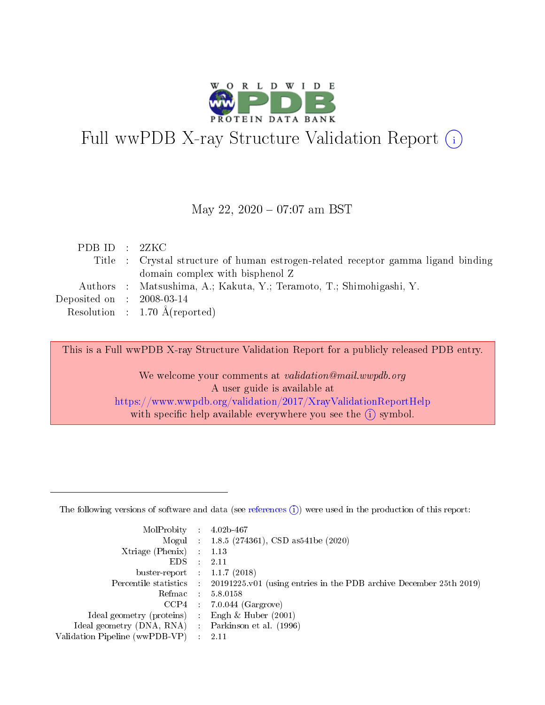

# Full wwPDB X-ray Structure Validation Report (i)

#### May 22, 2020 - 07:07 am BST

| PDBID : 2ZKC                |                                                                                   |
|-----------------------------|-----------------------------------------------------------------------------------|
|                             | Title : Crystal structure of human estrogen-related receptor gamma ligand binding |
|                             | domain complex with bisphenol Z                                                   |
|                             | Authors : Matsushima, A.; Kakuta, Y.; Teramoto, T.; Shimohigashi, Y.              |
| Deposited on : $2008-03-14$ |                                                                                   |
|                             | Resolution : $1.70 \text{ Å}$ (reported)                                          |

This is a Full wwPDB X-ray Structure Validation Report for a publicly released PDB entry.

We welcome your comments at validation@mail.wwpdb.org A user guide is available at <https://www.wwpdb.org/validation/2017/XrayValidationReportHelp> with specific help available everywhere you see the  $(i)$  symbol.

The following versions of software and data (see [references](https://www.wwpdb.org/validation/2017/XrayValidationReportHelp#references)  $(1)$ ) were used in the production of this report:

| MolProbity                     | $\mathcal{L}_{\rm{max}}$ | $4.02b - 467$                                                                |
|--------------------------------|--------------------------|------------------------------------------------------------------------------|
|                                |                          | Mogul : $1.8.5$ (274361), CSD as 541be (2020)                                |
| $X$ triage (Phenix) :          |                          | 1.13                                                                         |
| EDS.                           |                          | 2.11                                                                         |
| buster-report : $1.1.7$ (2018) |                          |                                                                              |
| Percentile statistics :        |                          | $20191225 \text{ v}01$ (using entries in the PDB archive December 25th 2019) |
| Refmac                         |                          | 5.8.0158                                                                     |
| $CCP4$ :                       |                          | $7.0.044$ (Gargrove)                                                         |
| Ideal geometry (proteins) :    |                          | Engh $\&$ Huber (2001)                                                       |
| Ideal geometry (DNA, RNA) :    |                          | Parkinson et al. (1996)                                                      |
| Validation Pipeline (wwPDB-VP) | $\mathcal{L}$            | -2.11                                                                        |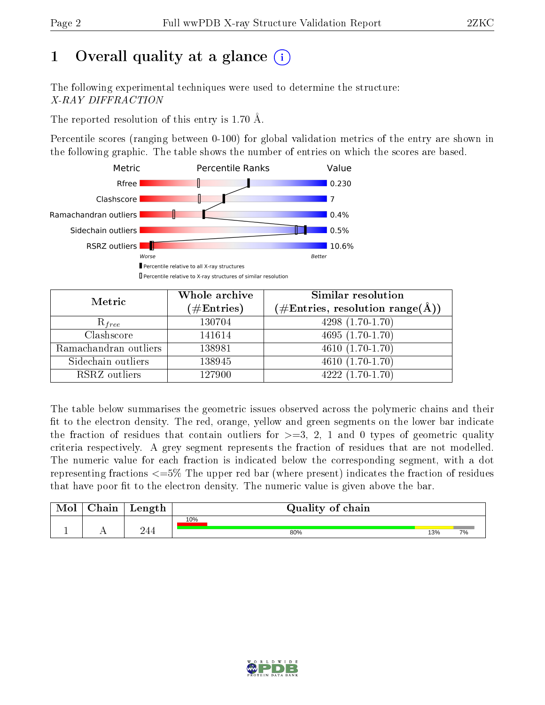# 1 [O](https://www.wwpdb.org/validation/2017/XrayValidationReportHelp#overall_quality)verall quality at a glance  $(i)$

The following experimental techniques were used to determine the structure: X-RAY DIFFRACTION

The reported resolution of this entry is 1.70 Å.

Percentile scores (ranging between 0-100) for global validation metrics of the entry are shown in the following graphic. The table shows the number of entries on which the scores are based.



| Metric                | Whole archive<br>$(\#\text{Entries})$ | Similar resolution<br>(#Entries, resolution range( $\AA$ )) |  |  |
|-----------------------|---------------------------------------|-------------------------------------------------------------|--|--|
| $R_{free}$            | 130704                                | $4298(1.70-1.70)$                                           |  |  |
| Clashscore            | 141614                                | 4695 $(1.70-1.70)$                                          |  |  |
| Ramachandran outliers | 138981                                | $4610(1.70-1.70)$                                           |  |  |
| Sidechain outliers    | 138945                                | $\overline{4610}$ $(1.70-1.70)$                             |  |  |
| RSRZ outliers         | 127900                                | $4222(1.70-1.70)$                                           |  |  |

The table below summarises the geometric issues observed across the polymeric chains and their fit to the electron density. The red, orange, yellow and green segments on the lower bar indicate the fraction of residues that contain outliers for  $>=$  3, 2, 1 and 0 types of geometric quality criteria respectively. A grey segment represents the fraction of residues that are not modelled. The numeric value for each fraction is indicated below the corresponding segment, with a dot representing fractions  $\epsilon=5\%$  The upper red bar (where present) indicates the fraction of residues that have poor fit to the electron density. The numeric value is given above the bar.

| Mol       | $\alpha$ hain | Length | Quality of chain |     |    |
|-----------|---------------|--------|------------------|-----|----|
|           |               |        | 10%              |     |    |
| <u>д.</u> | . .           | 244    | 80%              | 13% | 7% |

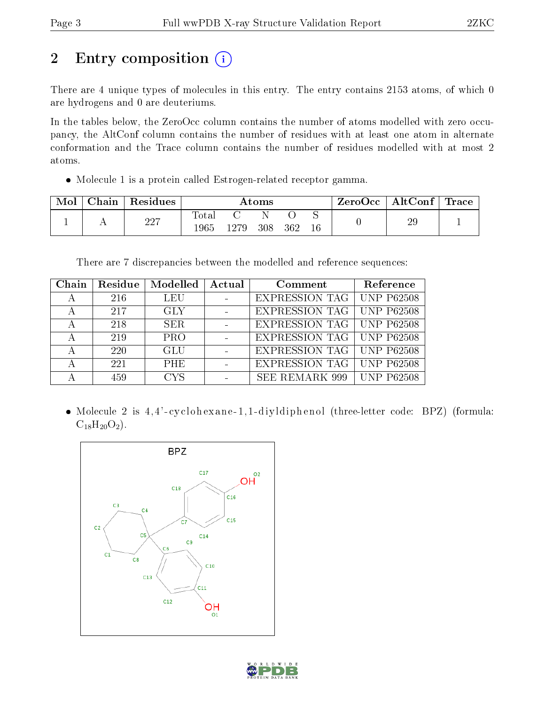# 2 Entry composition (i)

There are 4 unique types of molecules in this entry. The entry contains 2153 atoms, of which 0 are hydrogens and 0 are deuteriums.

In the tables below, the ZeroOcc column contains the number of atoms modelled with zero occupancy, the AltConf column contains the number of residues with at least one atom in alternate conformation and the Trace column contains the number of residues modelled with at most 2 atoms.

Molecule 1 is a protein called Estrogen-related receptor gamma.

| Mol | Chain | Residues | Atoms         |       |     |     |  | ZeroOcc | $\mid$ AltConf $\mid$ Trace |  |
|-----|-------|----------|---------------|-------|-----|-----|--|---------|-----------------------------|--|
|     |       | 227      | Tota.<br>1965 | 1279. | 308 | 362 |  |         | 29                          |  |

There are 7 discrepancies between the modelled and reference sequences:

| Chain | Residue    | Modelled   | Actual | Comment                            | Reference         |
|-------|------------|------------|--------|------------------------------------|-------------------|
|       | 216        | <b>LEU</b> |        | <b>EXPRESSION TAG   UNP P62508</b> |                   |
|       | 217        | <b>GLY</b> |        | <b>EXPRESSION TAG</b>              | <b>UNP P62508</b> |
|       | 218        | SER.       |        | <b>EXPRESSION TAG   UNP P62508</b> |                   |
|       | 219        | <b>PRO</b> |        | EXPRESSION TAG                     | <b>UNP P62508</b> |
|       | <b>220</b> | <b>GLU</b> |        | EXPRESSION TAG                     | <b>UNP P62508</b> |
|       | 221        | PHE        |        | EXPRESSION TAG                     | <b>UNP P62508</b> |
|       | 459        | <b>CYS</b> |        | <b>SEE REMARK 999</b>              | <b>UNP P62508</b> |

• Molecule 2 is 4,4'-cyclohexane-1,1-diyldiphenol (three-letter code: BPZ) (formula:  $C_{18}H_{20}O_2$ ).



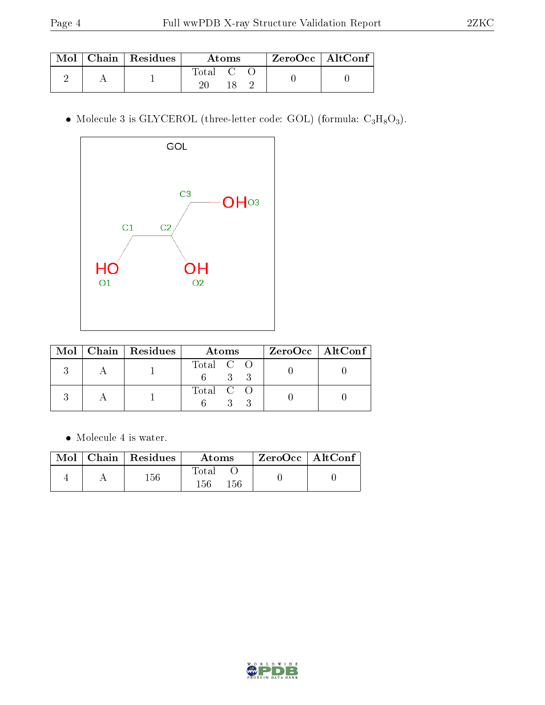|  | $\text{Mol}$   Chain   Residues | Atoms                                                   |  |  | $ZeroOcc$   AltConf |  |
|--|---------------------------------|---------------------------------------------------------|--|--|---------------------|--|
|  |                                 | $\begin{bmatrix} \text{Total} & \text{C} \end{bmatrix}$ |  |  |                     |  |

• Molecule 3 is GLYCEROL (three-letter code: GOL) (formula:  $C_3H_8O_3$ ).



|  | Mol   Chain   Residues | Atoms     | $ZeroOcc \mid AltConf$ |
|--|------------------------|-----------|------------------------|
|  |                        | Total C O |                        |
|  |                        | Total C O |                        |

Molecule 4 is water.

|  | Mol   Chain   Residues | Atoms               | $\mathsf{ZeroOcc} \mid \mathsf{AltConf}$ |  |
|--|------------------------|---------------------|------------------------------------------|--|
|  | 156                    | Total<br>156<br>156 |                                          |  |

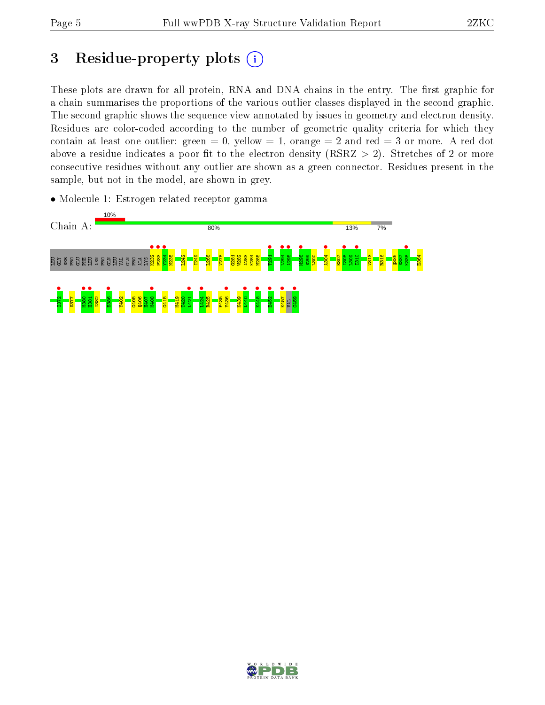# 3 Residue-property plots  $(i)$

These plots are drawn for all protein, RNA and DNA chains in the entry. The first graphic for a chain summarises the proportions of the various outlier classes displayed in the second graphic. The second graphic shows the sequence view annotated by issues in geometry and electron density. Residues are color-coded according to the number of geometric quality criteria for which they contain at least one outlier: green  $= 0$ , yellow  $= 1$ , orange  $= 2$  and red  $= 3$  or more. A red dot above a residue indicates a poor fit to the electron density (RSRZ  $> 2$ ). Stretches of 2 or more consecutive residues without any outlier are shown as a green connector. Residues present in the sample, but not in the model, are shown in grey.

• Molecule 1: Estrogen-related receptor gamma



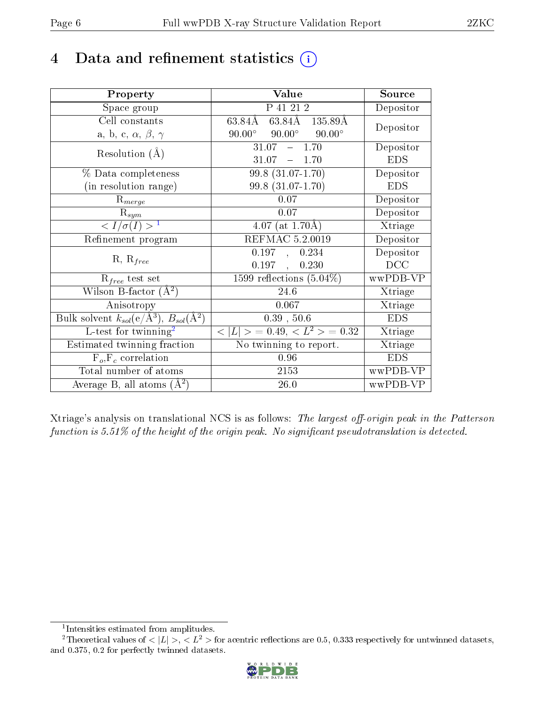## 4 Data and refinement statistics  $(i)$

| Property                                                         | Value                                                               | Source     |
|------------------------------------------------------------------|---------------------------------------------------------------------|------------|
| Space group                                                      | P 41 21 2                                                           | Depositor  |
| Cell constants                                                   | $63.84\overline{\text{A} \quad 63.84\text{A} \quad 135.89\text{A}}$ | Depositor  |
| a, b, c, $\alpha$ , $\beta$ , $\gamma$                           | $90.00^{\circ}$ $90.00^{\circ}$<br>$90.00^\circ$                    |            |
| Resolution $(A)$                                                 | $-1.70$<br>31.07                                                    | Depositor  |
|                                                                  | $31.07 - 1.70$                                                      | <b>EDS</b> |
| % Data completeness                                              | $99.8(31.07-1.70)$                                                  | Depositor  |
| (in resolution range)                                            | 99.8 (31.07-1.70)                                                   | <b>EDS</b> |
| $R_{merge}$                                                      | 0.07                                                                | Depositor  |
| $\mathrm{R}_{sym}$                                               | 0.07                                                                | Depositor  |
| $\langle I/\sigma(I) \rangle^{-1}$                               | $4.07$ (at 1.70Å)                                                   | Xtriage    |
| Refinement program                                               | <b>REFMAC 5.2.0019</b>                                              | Depositor  |
|                                                                  | 0.197<br>0.234<br>$\sim$                                            | Depositor  |
| $R, R_{free}$                                                    | 0.197<br>0.230<br>$\mathbf{r}$                                      | DCC        |
| $R_{free}$ test set                                              | 1599 reflections $(5.04\%)$                                         | wwPDB-VP   |
| Wilson B-factor $(A^2)$                                          | 24.6                                                                | Xtriage    |
| Anisotropy                                                       | 0.067                                                               | Xtriage    |
| Bulk solvent $k_{sol}(\text{e}/\text{A}^3), B_{sol}(\text{A}^2)$ | 0.39, 50.6                                                          | <b>EDS</b> |
| L-test for $\mathrm{twinning}^2$                                 | $< L >$ = 0.49, $< L2$ = 0.32                                       | Xtriage    |
| Estimated twinning fraction                                      | No twinning to report.                                              | Xtriage    |
| $\overline{F_o}, \overline{F_c}$ correlation                     | 0.96                                                                | <b>EDS</b> |
| Total number of atoms                                            | 2153                                                                | wwPDB-VP   |
| Average B, all atoms $(A^2)$                                     | 26.0                                                                | wwPDB-VP   |

Xtriage's analysis on translational NCS is as follows: The largest off-origin peak in the Patterson function is  $5.51\%$  of the height of the origin peak. No significant pseudotranslation is detected.

<sup>&</sup>lt;sup>2</sup>Theoretical values of  $\langle |L| \rangle$ ,  $\langle L^2 \rangle$  for acentric reflections are 0.5, 0.333 respectively for untwinned datasets, and 0.375, 0.2 for perfectly twinned datasets.



<span id="page-5-1"></span><span id="page-5-0"></span><sup>1</sup> Intensities estimated from amplitudes.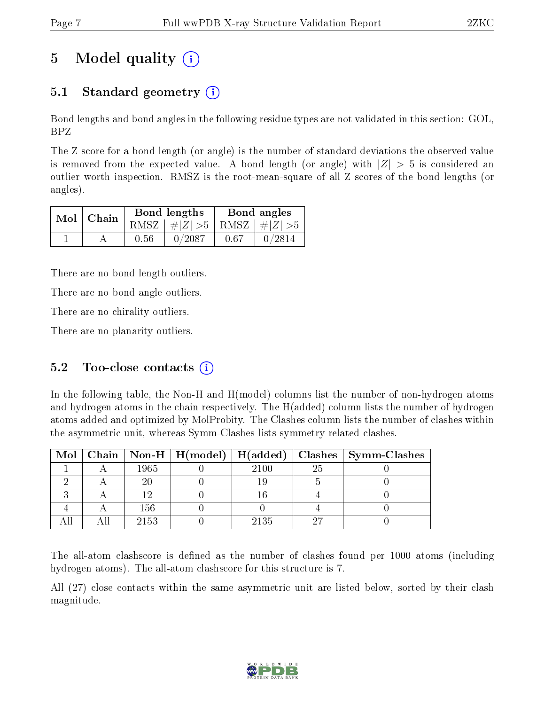# 5 Model quality  $(i)$

### 5.1 Standard geometry  $(i)$

Bond lengths and bond angles in the following residue types are not validated in this section: GOL, BPZ

The Z score for a bond length (or angle) is the number of standard deviations the observed value is removed from the expected value. A bond length (or angle) with  $|Z| > 5$  is considered an outlier worth inspection. RMSZ is the root-mean-square of all Z scores of the bond lengths (or angles).

|  | $Mol$   Chain |      | Bond lengths                    | Bond angles |        |  |
|--|---------------|------|---------------------------------|-------------|--------|--|
|  |               |      | RMSZ $ #Z  > 5$ RMSZ $ #Z  > 5$ |             |        |  |
|  |               | 0.56 | 0/2087                          | 0.67        | 0/2814 |  |

There are no bond length outliers.

There are no bond angle outliers.

There are no chirality outliers.

There are no planarity outliers.

### 5.2 Too-close contacts  $(i)$

In the following table, the Non-H and H(model) columns list the number of non-hydrogen atoms and hydrogen atoms in the chain respectively. The H(added) column lists the number of hydrogen atoms added and optimized by MolProbity. The Clashes column lists the number of clashes within the asymmetric unit, whereas Symm-Clashes lists symmetry related clashes.

|  |      |      |     | Mol   Chain   Non-H   H(model)   H(added)   Clashes   Symm-Clashes |
|--|------|------|-----|--------------------------------------------------------------------|
|  | 1965 | 2100 | -25 |                                                                    |
|  |      |      |     |                                                                    |
|  |      |      |     |                                                                    |
|  | 156  |      |     |                                                                    |
|  | 2153 | 2135 |     |                                                                    |

The all-atom clashscore is defined as the number of clashes found per 1000 atoms (including hydrogen atoms). The all-atom clashscore for this structure is 7.

All (27) close contacts within the same asymmetric unit are listed below, sorted by their clash magnitude.

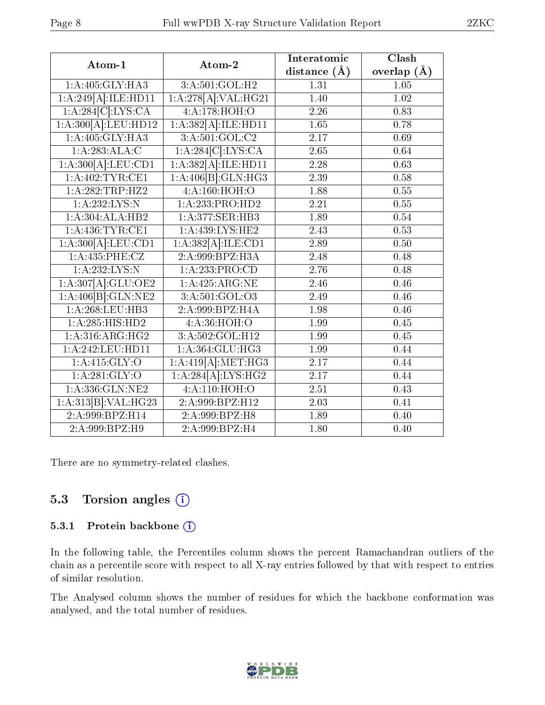| Atom-1                                      | Atom-2              | Interatomic       | Clash             |
|---------------------------------------------|---------------------|-------------------|-------------------|
|                                             |                     | distance $(\AA)$  | overlap $(A)$     |
| 1:A:405:GLY:HA3                             | 3:A:501:GOL:H2      | 1.31              | 1.05              |
| $1:A:\overline{249[A]:}\overline{ILE:HDI1}$ | 1:A:278[A]:VAL:HG21 | 1.40              | 1.02              |
| 1:A:284[C]:LYS:CA                           | 4:A:178:HOH:O       | 2.26              | 0.83              |
| 1:A:300[A]:LEU:HD12                         | 1:A:382[A]:ILE:HD11 | 1.65              | 0.78              |
| 1: A:405: GLY: HA3                          | 3: A: 501: GOL: C2  | 2.17              | 0.69              |
| 1:A:283:ALA:C                               | 1:A:284[C]:LYS:CA   | 2.65              | 0.64              |
| 1:A:300[A]:LEU:CD1                          | 1:A:382[A]:ILE:HD11 | 2.28              | $\overline{0.63}$ |
| 1: A:402:TYR:CE1                            | 1:A:406[B]:GLN:HG3  | 2.39              | 0.58              |
| 1:A:282:TRP:HZ2                             | 4:A:160:HOH:O       | 1.88              | 0.55              |
| 1:A:232:LYS:N                               | 1:A:233:PRO:HD2     | 2.21              | 0.55              |
| 1:A:304:ALA:HB2                             | 1:A:377:SER:HB3     | 1.89              | 0.54              |
| 1: A: 436: TYR: CE1                         | 1:A:439:LYS:HE2     | 2.43              | 0.53              |
| 1:A:300[A]:LEU:CD1                          | 1:A:382[A]:ILE:CD1  | 2.89              | 0.50              |
| 1:A:435:PHE:CZ                              | 2:A:999:BPZ:H3A     | 2.48              | 0.48              |
| 1:A:232:LYS:N                               | 1:A:233:PRO:CD      | 2.76              | 0.48              |
| 1:A:307[A]:GLU:OE2                          | 1:A:425:ARG:NE      | 2.46              | 0.46              |
| 1:A:406[B]:GLN:NE2                          | 3:A:501:GOL:O3      | 2.49              | 0.46              |
| 1:A:268:LEU:HB3                             | 2:A:999:BPZ:H4A     | 1.98              | 0.46              |
| 1:A:285:HIS:HD2                             | 4:A:36:HOH:O        | 1.99              | 0.45              |
| 1: A:316: ARG: HG2                          | 3:A:502:GOL:H12     | 1.99              | 0.45              |
| 1:A:242:LEU:HD11                            | 1: A:364: GLU:HG3   | 1.99              | 0.44              |
| 1: A: 415: GLY: O                           | 1:A:419[A]:MET:HG3  | 2.17              | 0.44              |
| 1:A:281:GLY:O                               | 1:A:284[A]:LYS:HG2  | 2.17              | 0.44              |
| 1:A:336:GLN:NE2                             | 4:A:110:HOH:O       | 2.51              | 0.43              |
| 1:A:313[B]:VAL:HG23                         | 2:A:999:BPZ:H12     | $\overline{2.03}$ | 0.41              |
| 2:A:999:BPZ:H14                             | 2:A:999:BPZ:H8      | 1.89              | 0.40              |
| 2:A:999:BPZ:H9                              | 2:A:999:BPZ:H4      | 1.80              | 0.40              |

There are no symmetry-related clashes.

### 5.3 Torsion angles (i)

#### 5.3.1 Protein backbone (i)

In the following table, the Percentiles column shows the percent Ramachandran outliers of the chain as a percentile score with respect to all X-ray entries followed by that with respect to entries of similar resolution.

The Analysed column shows the number of residues for which the backbone conformation was analysed, and the total number of residues.

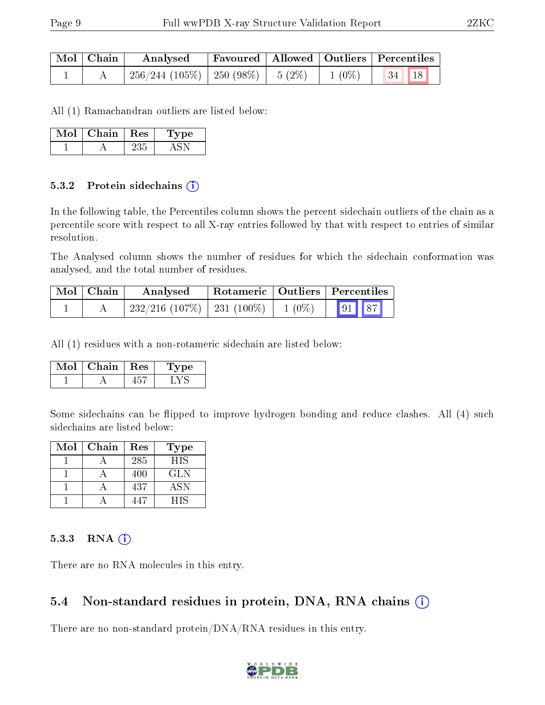| Mol   Chain | Analysed                                           |  | Favoured   Allowed   Outliers   Percentiles |
|-------------|----------------------------------------------------|--|---------------------------------------------|
|             | $256/244$ (105\%)   250 (98\%)   5 (2\%)   1 (0\%) |  | 34   18                                     |

All (1) Ramachandran outliers are listed below:

| Mol | Chain. | $\operatorname{Res}$ | Type |
|-----|--------|----------------------|------|
|     |        |                      |      |

#### 5.3.2 Protein sidechains (i)

In the following table, the Percentiles column shows the percent sidechain outliers of the chain as a percentile score with respect to all X-ray entries followed by that with respect to entries of similar resolution.

The Analysed column shows the number of residues for which the sidechain conformation was analysed, and the total number of residues.

| $Mol$   Chain | Analysed                        |          | Rotameric   Outliers   Percentiles |  |
|---------------|---------------------------------|----------|------------------------------------|--|
|               | $232/216$ (107\%)   231 (100\%) | $1(0\%)$ | $\boxed{91}$ $\boxed{87}$          |  |

All (1) residues with a non-rotameric sidechain are listed below:

| Chain | Res | pe : |
|-------|-----|------|
|       |     |      |

Some sidechains can be flipped to improve hydrogen bonding and reduce clashes. All (4) such sidechains are listed below:

| $\operatorname{Mol}$ | Chain | Res | Type       |
|----------------------|-------|-----|------------|
|                      |       | 285 | HIS        |
|                      |       | 400 | GLN        |
|                      |       | 437 | <b>ASN</b> |
|                      |       | 147 | НIS        |

#### 5.3.3 RNA (i)

There are no RNA molecules in this entry.

#### 5.4 Non-standard residues in protein, DNA, RNA chains  $(i)$

There are no non-standard protein/DNA/RNA residues in this entry.

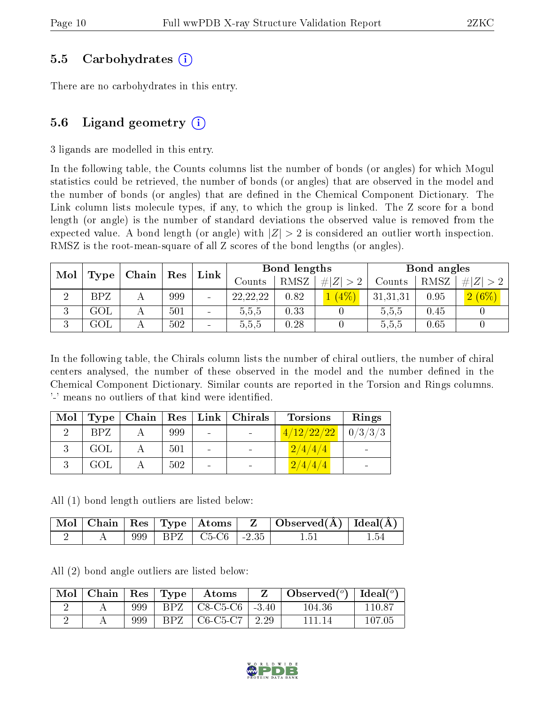#### 5.5 Carbohydrates (i)

There are no carbohydrates in this entry.

### 5.6 Ligand geometry  $(i)$

3 ligands are modelled in this entry.

In the following table, the Counts columns list the number of bonds (or angles) for which Mogul statistics could be retrieved, the number of bonds (or angles) that are observed in the model and the number of bonds (or angles) that are defined in the Chemical Component Dictionary. The Link column lists molecule types, if any, to which the group is linked. The Z score for a bond length (or angle) is the number of standard deviations the observed value is removed from the expected value. A bond length (or angle) with  $|Z| > 2$  is considered an outlier worth inspection. RMSZ is the root-mean-square of all Z scores of the bond lengths (or angles).

| Mol                 |            | Chain | Res | Bond lengths<br>Link |            |      |             | Bond angles |      |          |
|---------------------|------------|-------|-----|----------------------|------------|------|-------------|-------------|------|----------|
|                     | Type       |       |     |                      | Counts     | RMSZ | # $ Z  > 2$ | Counts      | RMSZ | H Z      |
|                     | <b>BPZ</b> |       | 999 | -                    | 22, 22, 22 | 0.82 | (4%         | 31,31,31    | 0.95 | $2(6\%)$ |
| 3                   | $\rm GOL$  |       | 501 | $\blacksquare$       | 5,5,5      | 0.33 |             | 5.5,5       | 0.45 |          |
| $\mathbf{Q}$<br>۰.) | $\rm GOL$  |       | 502 | $\qquad \qquad$      | 5,5,5      | 0.28 |             | 5,5,5       | 0.65 |          |

In the following table, the Chirals column lists the number of chiral outliers, the number of chiral centers analysed, the number of these observed in the model and the number defined in the Chemical Component Dictionary. Similar counts are reported in the Torsion and Rings columns. '-' means no outliers of that kind were identified.

| Mol | Type       | Chain   Res |     |                          | Link   Chirals | <b>Torsions</b> | Rings   |
|-----|------------|-------------|-----|--------------------------|----------------|-----------------|---------|
|     | <b>BPZ</b> |             | 999 | $\qquad \qquad$          |                | 4/12/22/22      | 0/3/3/3 |
|     | GOL        |             | 501 |                          |                | 2/4/4/4         |         |
|     | GOL        |             | 502 | $\overline{\phantom{a}}$ |                | 2/4/4/4         |         |

All (1) bond length outliers are listed below:

|  |  |                           | Mol Chain Res Type Atoms Z Observed(A) Ideal(A) |  |
|--|--|---------------------------|-------------------------------------------------|--|
|  |  | 999   BPZ   C5-C6   -2.35 | -1.51                                           |  |

All (2) bond angle outliers are listed below:

| Mol | Chain | $\operatorname{Res}$ | $\Gamma$ Type | Atoms                |         | Observed $(^\circ)$ | $\vert$ Ideal( $^o$ ) |
|-----|-------|----------------------|---------------|----------------------|---------|---------------------|-----------------------|
|     |       | 999                  | BPZ -         | $\pm$ C8-C5-C6 $\pm$ | $-3.40$ | $104.36\,$          | 110.87                |
|     |       | 999                  | BPZ           | $C6-C5-C7$           | 2.29    | 111 14              | 107.05                |

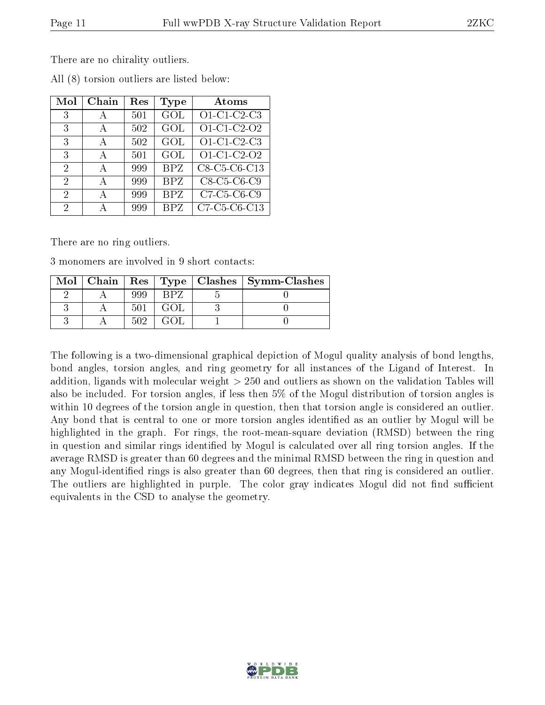There are no chirality outliers.

| Mol                         | Chain | Res | Type       | Atoms         |
|-----------------------------|-------|-----|------------|---------------|
| 3                           |       | 501 | GOL        | $O1-C1-C2-C3$ |
| 3                           | А     | 502 | GOL        | O1-C1-C2-O2   |
| 3                           | А     | 502 | GOL        | $O1-C1-C2-C3$ |
| 3                           | А     | 501 | GOL        | O1-C1-C2-O2   |
| $\mathcal{D}_{\mathcal{A}}$ | A     | 999 | <b>BPZ</b> | C8-C5-C6-C13  |
| 2                           | A     | 999 | BPZ        | C8-C5-C6-C9   |
| 2                           | А     | 999 | <b>BPZ</b> | C7-C5-C6-C9   |
| 2                           | А     | 999 | <b>BPZ</b> | C7-C5-C6-C13  |

All (8) torsion outliers are listed below:

There are no ring outliers.

3 monomers are involved in 9 short contacts:

|  |      |  | $\text{Mol}$   Chain   Res   Type   Clashes   Symm-Clashes |
|--|------|--|------------------------------------------------------------|
|  |      |  |                                                            |
|  | -501 |  |                                                            |
|  | 509  |  |                                                            |

The following is a two-dimensional graphical depiction of Mogul quality analysis of bond lengths, bond angles, torsion angles, and ring geometry for all instances of the Ligand of Interest. In addition, ligands with molecular weight > 250 and outliers as shown on the validation Tables will also be included. For torsion angles, if less then 5% of the Mogul distribution of torsion angles is within 10 degrees of the torsion angle in question, then that torsion angle is considered an outlier. Any bond that is central to one or more torsion angles identified as an outlier by Mogul will be highlighted in the graph. For rings, the root-mean-square deviation (RMSD) between the ring in question and similar rings identified by Mogul is calculated over all ring torsion angles. If the average RMSD is greater than 60 degrees and the minimal RMSD between the ring in question and any Mogul-identified rings is also greater than 60 degrees, then that ring is considered an outlier. The outliers are highlighted in purple. The color gray indicates Mogul did not find sufficient equivalents in the CSD to analyse the geometry.

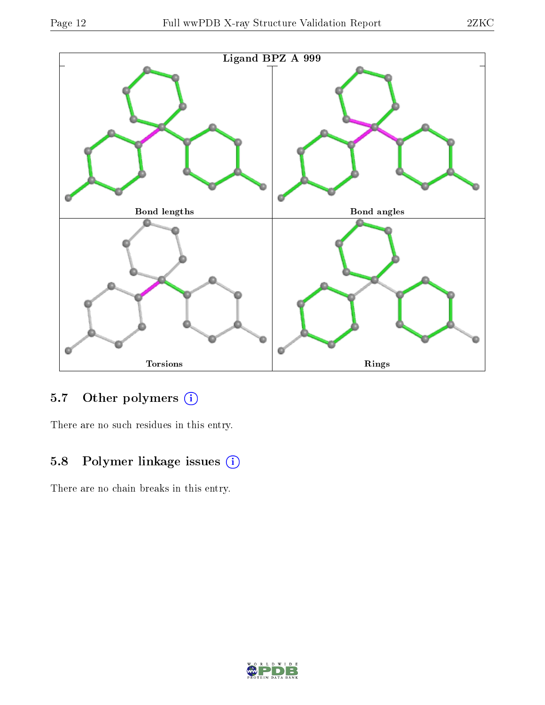

## 5.7 [O](https://www.wwpdb.org/validation/2017/XrayValidationReportHelp#nonstandard_residues_and_ligands)ther polymers (i)

There are no such residues in this entry.

## 5.8 Polymer linkage issues (i)

There are no chain breaks in this entry.

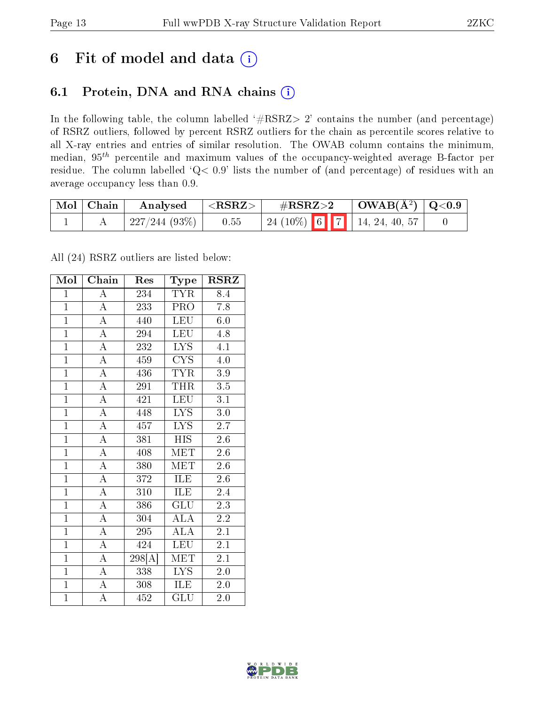## 6 Fit of model and data  $(i)$

### 6.1 Protein, DNA and RNA chains  $(i)$

In the following table, the column labelled  $#RSRZ> 2'$  contains the number (and percentage) of RSRZ outliers, followed by percent RSRZ outliers for the chain as percentile scores relative to all X-ray entries and entries of similar resolution. The OWAB column contains the minimum, median,  $95<sup>th</sup>$  percentile and maximum values of the occupancy-weighted average B-factor per residue. The column labelled ' $Q< 0.9$ ' lists the number of (and percentage) of residues with an average occupancy less than 0.9.

| $^+$ Mol $\vert$ Chain $^+$ | Analysed      | $<$ RSRZ $>$ | $\rm \#RSRZ{>}2$ |  | $\mid$ OWAB(Å <sup>2</sup> ) $\mid$ Q<0.9 |  |
|-----------------------------|---------------|--------------|------------------|--|-------------------------------------------|--|
|                             | 227/244 (93%) | 0.55         |                  |  | 24 (10%) 6   7   14, 24, 40, 57           |  |

All (24) RSRZ outliers are listed below:

| Mol            | Chain              | Res                  | Type                      | <b>RSRZ</b>      |
|----------------|--------------------|----------------------|---------------------------|------------------|
| $\mathbf{1}$   | $\overline{\rm A}$ | 234                  | <b>TYR</b>                | 8.4              |
| $\overline{1}$ | $\overline{\rm A}$ | $\overline{233}$     | PRO                       | 7.8              |
| $\overline{1}$ | $\overline{A}$     | 440                  | <b>LEU</b>                | 6.0              |
| $\overline{1}$ | $\overline{A}$     | 294                  | <b>LEU</b>                | 4.8              |
| $\overline{1}$ | $\overline{A}$     | 232                  | $\overline{\text{LYS}}$   | 4.1              |
| $\mathbf{1}$   | $\overline{A}$     | 459                  | $\overline{\text{CYS}}$   | $\overline{4.0}$ |
| $\overline{1}$ | $\overline{A}$     | 436                  | <b>TYR</b>                | 3.9              |
| $\overline{1}$ | $\overline{A}$     | 291                  | THR                       | 3.5              |
| $\mathbf{1}$   | $\overline{A}$     | 421                  | <b>LEU</b>                | 3.1              |
| $\overline{1}$ | $\overline{A}$     | 448                  | $\overline{\text{LYS}}$   | $3.0\,$          |
| $\overline{1}$ | $\overline{A}$     | 457                  | <b>LYS</b>                | 2.7              |
| $\overline{1}$ | $\overline{\rm A}$ | $\overline{381}$     | $\overline{HIS}$          | 2.6              |
| $\overline{1}$ | $\overline{\rm A}$ | 408                  | MET                       | 2.6              |
| $\overline{1}$ | $\overline{\rm A}$ | 380                  | MET                       | $2.\overline{6}$ |
| $\overline{1}$ | $\overline{\rm A}$ | 372                  | ILE                       | 2.6              |
| $\overline{1}$ | $\overline{A}$     | 310                  | ILE                       | 2.4              |
| $\overline{1}$ | $\overline{\rm A}$ | 386                  | $\overline{\mathrm{GLU}}$ | 2.3              |
| $\overline{1}$ | $\overline{\rm A}$ | 304                  | <b>ALA</b>                | 2.2              |
| $\mathbf{1}$   | $\overline{\rm A}$ | 295                  | <b>ALA</b>                | 2.1              |
| $\overline{1}$ | $\overline{A}$     | 424                  | LEU                       | $\overline{2.1}$ |
| $\overline{1}$ | $\overline{A}$     | $\overline{298}$ [A] | $\overline{\text{MET}}$   | 2.1              |
| $\overline{1}$ | $\overline{\rm A}$ | 338                  | $\overline{\text{LYS}}$   | 2.0              |
| $\overline{1}$ | $\overline{\rm A}$ | 308                  | ILE                       | 2.0              |
| $\overline{1}$ | $\overline{\rm A}$ | 452                  | $\overline{{\rm GLU}}$    | 2.0              |

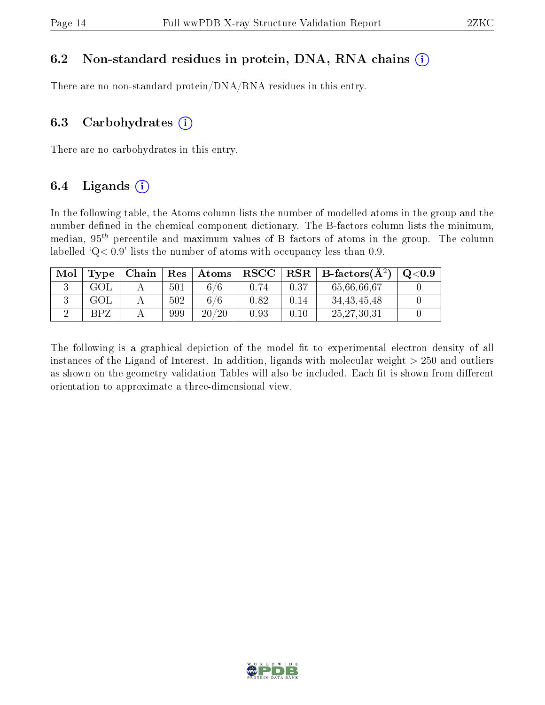#### 6.2 Non-standard residues in protein, DNA, RNA chains  $(i)$

There are no non-standard protein/DNA/RNA residues in this entry.

#### 6.3 Carbohydrates  $(i)$

There are no carbohydrates in this entry.

### 6.4 Ligands  $(i)$

In the following table, the Atoms column lists the number of modelled atoms in the group and the number defined in the chemical component dictionary. The B-factors column lists the minimum, median,  $95<sup>th</sup>$  percentile and maximum values of B factors of atoms in the group. The column labelled  $Q< 0.9$ ' lists the number of atoms with occupancy less than 0.9.

| Mol | Type           | Chain | $\operatorname{Res}$ | Atoms     | $_{\rm RSCC}$ | $_{\rm RSR}$ | $\perp$ B-factors( $\AA^2$ ) | $\mathrm{Q}{<}0.9$ |
|-----|----------------|-------|----------------------|-----------|---------------|--------------|------------------------------|--------------------|
|     | GOL            |       | 501                  | 6/6       |               | 0.37         | 65,66,66,67                  |                    |
|     | GOL            |       | 502                  | 6/6       | 0.82          | $\rm 0.14$   | 34, 43, 45, 48               |                    |
|     | R <sub>P</sub> |       | 999                  | 20<br>/20 | 0.93          | $.10\,$      | 25, 27, 30, 31               |                    |

The following is a graphical depiction of the model fit to experimental electron density of all instances of the Ligand of Interest. In addition, ligands with molecular weight  $> 250$  and outliers as shown on the geometry validation Tables will also be included. Each fit is shown from different orientation to approximate a three-dimensional view.